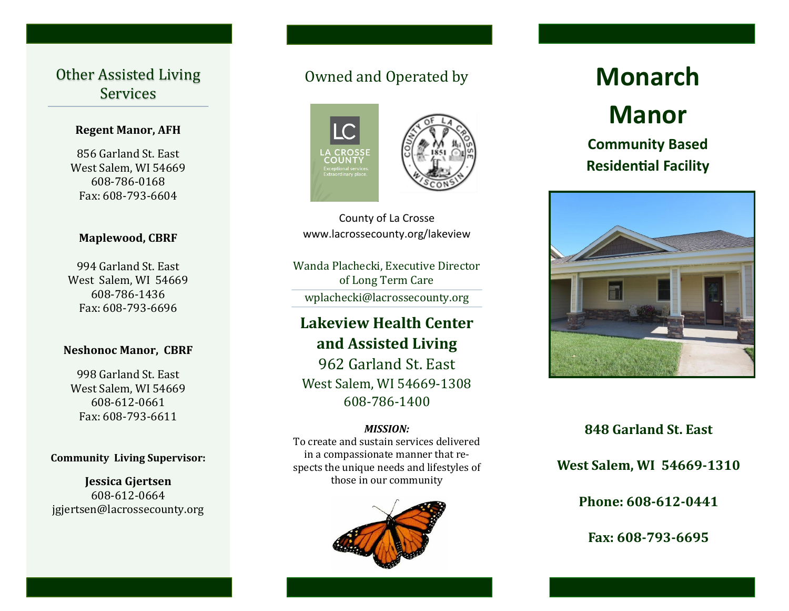## Other Assisted Living Services

#### **Regent Manor, AFH**

856 Garland St. East West Salem, WI 54669 608-786-0168 Fax: 608-793-6604

#### **Maplewood, CBRF**

994 Garland St. East West Salem, WI 54669 608-786-1436 Fax: 608-793-6696

#### **Neshonoc Manor, CBRF**

998 Garland St. East West Salem, WI 54669 608-612-0661 Fax: 608-793-6611

#### **Community Living Supervisor:**

**Jessica Gjertsen** 608-612-0664 jgjertsen@lacrossecounty.org

# Owned and Operated by



County of La Crosse www.lacrossecounty.org/lakeview

Wanda Plachecki, Executive Director of Long Term Care wplachecki@lacrossecounty.org

# **Lakeview Health Center and Assisted Living**

962 Garland St. East West Salem, WI 54669-1308 608-786-1400

#### *MISSION:*

To create and sustain services delivered in a compassionate manner that respects the unique needs and lifestyles of those in our community



# **Monarch Manor**

# **Community Based Residential Facility**



### **848 Garland St. East**

**West Salem, WI 54669-1310**

**Phone: 608-612-0441**

**Fax: 608-793-6695**